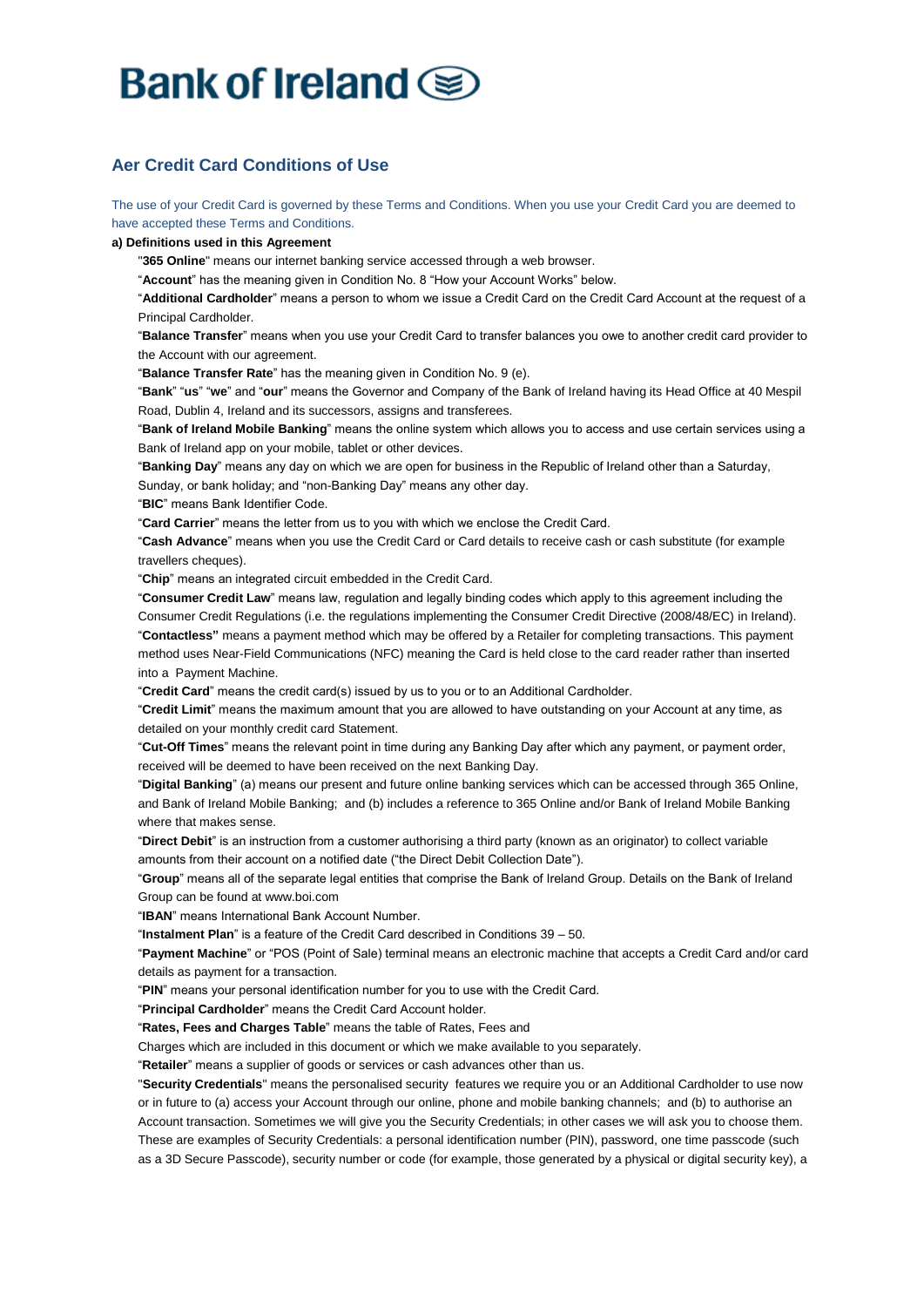# Bank of Ireland Se

## **Aer Credit Card Conditions of Use**

The use of your Credit Card is governed by these Terms and Conditions. When you use your Credit Card you are deemed to have accepted these Terms and Conditions.

#### **a) Definitions used in this Agreement**

"**365 Online**" means our internet banking service accessed through a web browser.

"**Account**" has the meaning given in Condition No. 8 "How your Account Works" below.

"**Additional Cardholder**" means a person to whom we issue a Credit Card on the Credit Card Account at the request of a Principal Cardholder.

"**Balance Transfer**" means when you use your Credit Card to transfer balances you owe to another credit card provider to the Account with our agreement.

"**Balance Transfer Rate**" has the meaning given in Condition No. 9 (e).

"**Bank**" "**us**" "**we**" and "**our**" means the Governor and Company of the Bank of Ireland having its Head Office at 40 Mespil Road, Dublin 4, Ireland and its successors, assigns and transferees.

"**Bank of Ireland Mobile Banking**" means the online system which allows you to access and use certain services using a Bank of Ireland app on your mobile, tablet or other devices.

"**Banking Day**" means any day on which we are open for business in the Republic of Ireland other than a Saturday,

Sunday, or bank holiday; and "non-Banking Day" means any other day.

"**BIC**" means Bank Identifier Code.

"**Card Carrier**" means the letter from us to you with which we enclose the Credit Card.

"**Cash Advance**" means when you use the Credit Card or Card details to receive cash or cash substitute (for example travellers cheques).

"**Chip**" means an integrated circuit embedded in the Credit Card.

"**Consumer Credit Law**" means law, regulation and legally binding codes which apply to this agreement including the Consumer Credit Regulations (i.e. the regulations implementing the Consumer Credit Directive (2008/48/EC) in Ireland). "**Contactless"** means a payment method which may be offered by a Retailer for completing transactions. This payment method uses Near-Field Communications (NFC) meaning the Card is held close to the card reader rather than inserted into a Payment Machine.

"**Credit Card**" means the credit card(s) issued by us to you or to an Additional Cardholder.

"**Credit Limit**" means the maximum amount that you are allowed to have outstanding on your Account at any time, as detailed on your monthly credit card Statement.

"**Cut-Off Times**" means the relevant point in time during any Banking Day after which any payment, or payment order, received will be deemed to have been received on the next Banking Day.

"**Digital Banking**" (a) means our present and future online banking services which can be accessed through 365 Online, and Bank of Ireland Mobile Banking; and (b) includes a reference to 365 Online and/or Bank of Ireland Mobile Banking where that makes sense.

"**Direct Debit**" is an instruction from a customer authorising a third party (known as an originator) to collect variable amounts from their account on a notified date ("the Direct Debit Collection Date").

"**Group**" means all of the separate legal entities that comprise the Bank of Ireland Group. Details on the Bank of Ireland Group can be found at www.boi.com

"**IBAN**" means International Bank Account Number.

"**Instalment Plan**" is a feature of the Credit Card described in Conditions 39 – 50.

"**Payment Machine**" or "POS (Point of Sale) terminal means an electronic machine that accepts a Credit Card and/or card details as payment for a transaction.

"**PIN**" means your personal identification number for you to use with the Credit Card.

"**Principal Cardholder**" means the Credit Card Account holder.

"**Rates, Fees and Charges Table**" means the table of Rates, Fees and

Charges which are included in this document or which we make available to you separately.

"**Retailer**" means a supplier of goods or services or cash advances other than us.

"**Security Credentials**" means the personalised security features we require you or an Additional Cardholder to use now or in future to (a) access your Account through our online, phone and mobile banking channels; and (b) to authorise an Account transaction. Sometimes we will give you the Security Credentials; in other cases we will ask you to choose them. These are examples of Security Credentials: a personal identification number (PIN), password, one time passcode (such as a 3D Secure Passcode), security number or code (for example, those generated by a physical or digital security key), a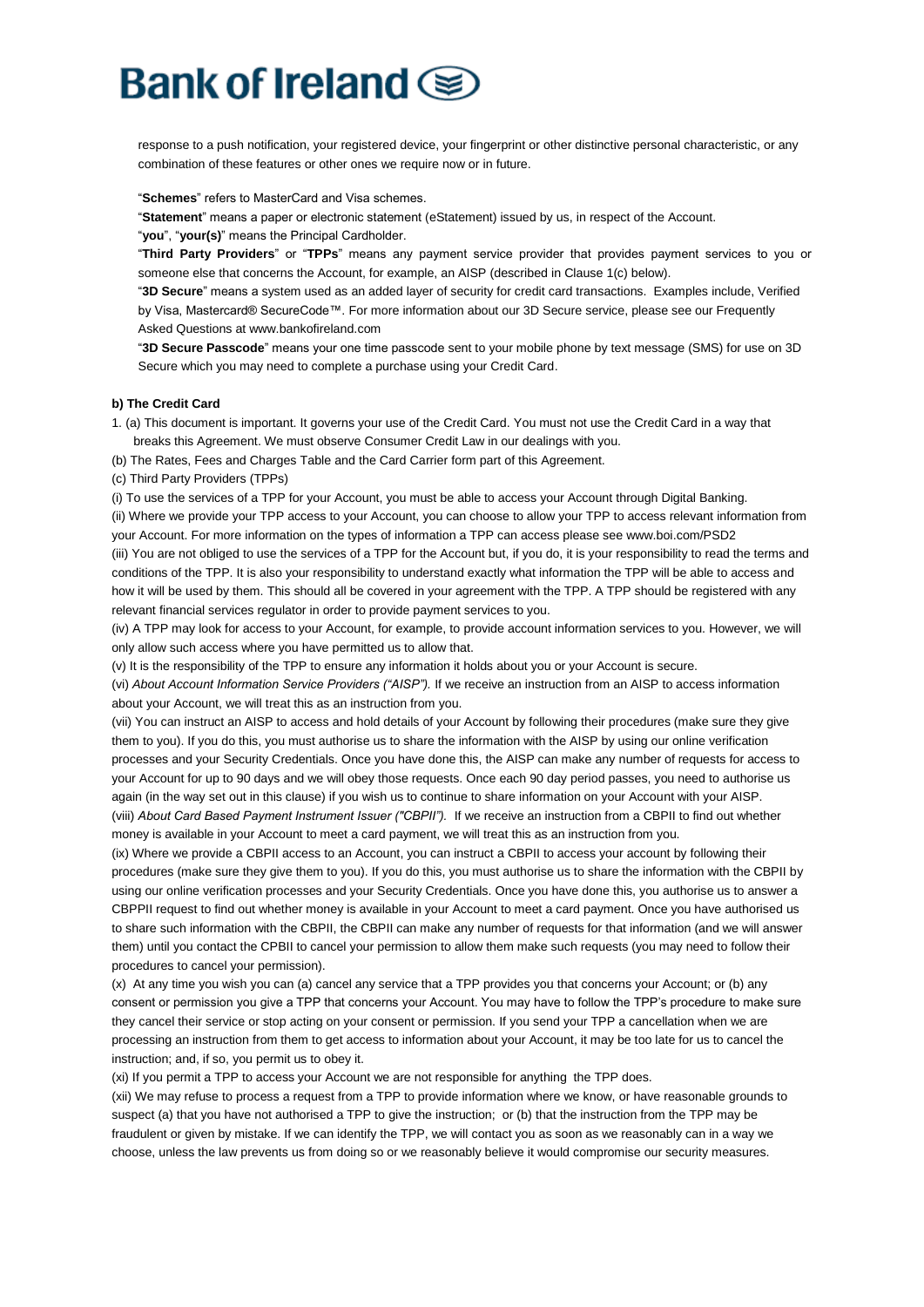response to a push notification, your registered device, your fingerprint or other distinctive personal characteristic, or any combination of these features or other ones we require now or in future.

"**Schemes**" refers to MasterCard and Visa schemes.

"**Statement**" means a paper or electronic statement (eStatement) issued by us, in respect of the Account. "**you**", "**your(s)**" means the Principal Cardholder.

"**Third Party Providers**" or "**TPPs**" means any payment service provider that provides payment services to you or someone else that concerns the Account, for example, an AISP (described in Clause 1(c) below).

"**3D Secure**" means a system used as an added layer of security for credit card transactions. Examples include, Verified by Visa, Mastercard® SecureCode™. For more information about our 3D Secure service, please see our Frequently Asked Questions at www.bankofireland.com

"**3D Secure Passcode**" means your one time passcode sent to your mobile phone by text message (SMS) for use on 3D Secure which you may need to complete a purchase using your Credit Card.

#### **b) The Credit Card**

1. (a) This document is important. It governs your use of the Credit Card. You must not use the Credit Card in a way that breaks this Agreement. We must observe Consumer Credit Law in our dealings with you.

(b) The Rates, Fees and Charges Table and the Card Carrier form part of this Agreement.

(c) Third Party Providers (TPPs)

(i) To use the services of a TPP for your Account, you must be able to access your Account through Digital Banking.

(ii) Where we provide your TPP access to your Account, you can choose to allow your TPP to access relevant information from your Account. For more information on the types of information a TPP can access please see www.boi.com/PSD2

(iii) You are not obliged to use the services of a TPP for the Account but, if you do, it is your responsibility to read the terms and conditions of the TPP. It is also your responsibility to understand exactly what information the TPP will be able to access and how it will be used by them. This should all be covered in your agreement with the TPP. A TPP should be registered with any relevant financial services regulator in order to provide payment services to you.

(iv) A TPP may look for access to your Account, for example, to provide account information services to you. However, we will only allow such access where you have permitted us to allow that.

(v) It is the responsibility of the TPP to ensure any information it holds about you or your Account is secure.

(vi) *About Account Information Service Providers ("AISP").* If we receive an instruction from an AISP to access information about your Account, we will treat this as an instruction from you.

(vii) You can instruct an AISP to access and hold details of your Account by following their procedures (make sure they give them to you). If you do this, you must authorise us to share the information with the AISP by using our online verification processes and your Security Credentials. Once you have done this, the AISP can make any number of requests for access to your Account for up to 90 days and we will obey those requests. Once each 90 day period passes, you need to authorise us again (in the way set out in this clause) if you wish us to continue to share information on your Account with your AISP. (viii) *About Card Based Payment Instrument Issuer ("CBPII").* If we receive an instruction from a CBPII to find out whether money is available in your Account to meet a card payment, we will treat this as an instruction from you.

(ix) Where we provide a CBPII access to an Account, you can instruct a CBPII to access your account by following their procedures (make sure they give them to you). If you do this, you must authorise us to share the information with the CBPII by using our online verification processes and your Security Credentials. Once you have done this, you authorise us to answer a CBPPII request to find out whether money is available in your Account to meet a card payment. Once you have authorised us to share such information with the CBPII, the CBPII can make any number of requests for that information (and we will answer them) until you contact the CPBII to cancel your permission to allow them make such requests (you may need to follow their procedures to cancel your permission).

(x) At any time you wish you can (a) cancel any service that a TPP provides you that concerns your Account; or (b) any consent or permission you give a TPP that concerns your Account. You may have to follow the TPP's procedure to make sure they cancel their service or stop acting on your consent or permission. If you send your TPP a cancellation when we are processing an instruction from them to get access to information about your Account, it may be too late for us to cancel the instruction; and, if so, you permit us to obey it.

(xi) If you permit a TPP to access your Account we are not responsible for anything the TPP does.

(xii) We may refuse to process a request from a TPP to provide information where we know, or have reasonable grounds to suspect (a) that you have not authorised a TPP to give the instruction; or (b) that the instruction from the TPP may be fraudulent or given by mistake. If we can identify the TPP, we will contact you as soon as we reasonably can in a way we choose, unless the law prevents us from doing so or we reasonably believe it would compromise our security measures.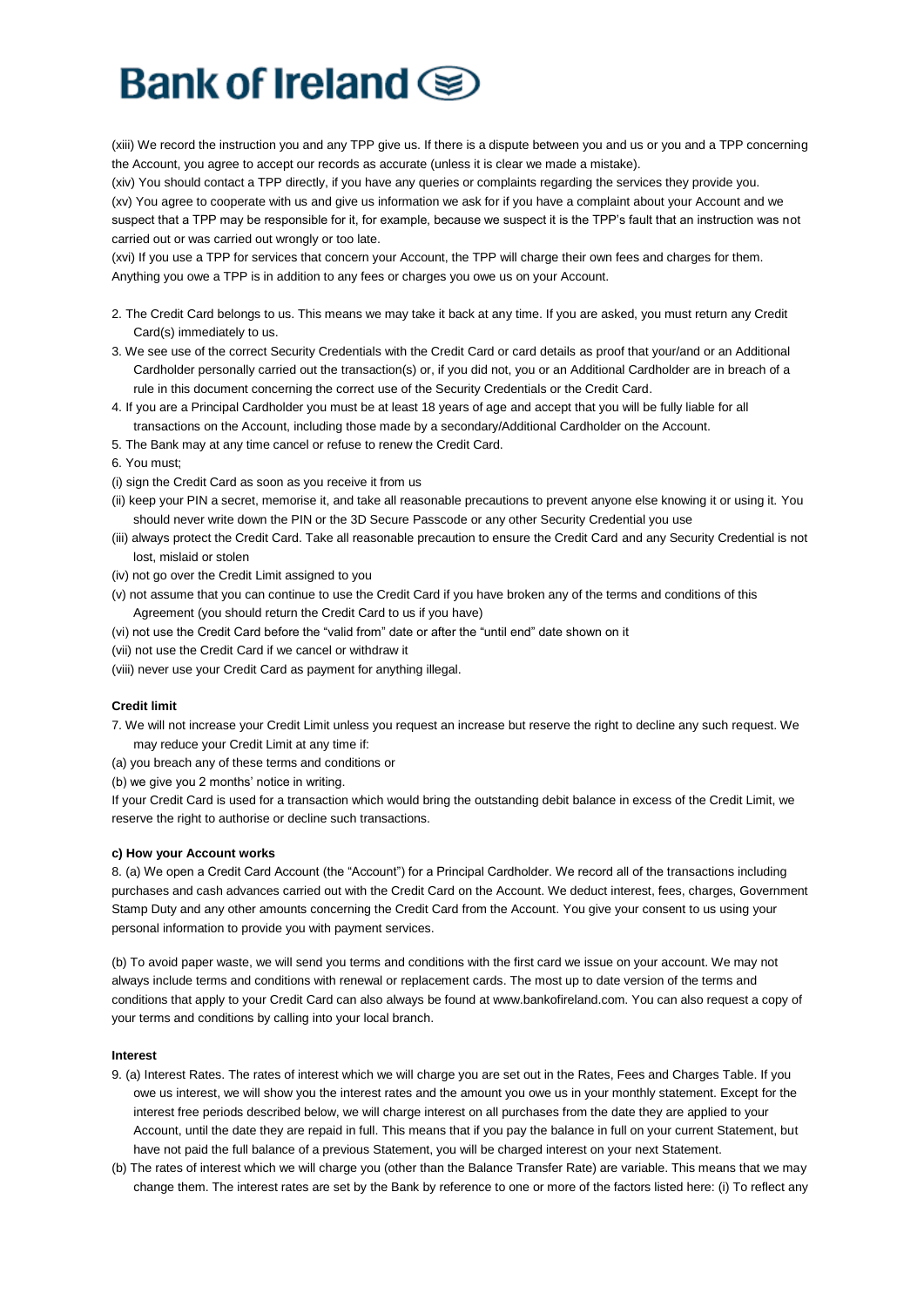# Bank of Ireland  $\textcircled{\ensuremath{\mathbf{g}}}$

(xiii) We record the instruction you and any TPP give us. If there is a dispute between you and us or you and a TPP concerning the Account, you agree to accept our records as accurate (unless it is clear we made a mistake).

(xiv) You should contact a TPP directly, if you have any queries or complaints regarding the services they provide you. (xv) You agree to cooperate with us and give us information we ask for if you have a complaint about your Account and we suspect that a TPP may be responsible for it, for example, because we suspect it is the TPP's fault that an instruction was not carried out or was carried out wrongly or too late.

(xvi) If you use a TPP for services that concern your Account, the TPP will charge their own fees and charges for them. Anything you owe a TPP is in addition to any fees or charges you owe us on your Account.

- 2. The Credit Card belongs to us. This means we may take it back at any time. If you are asked, you must return any Credit Card(s) immediately to us.
- 3. We see use of the correct Security Credentials with the Credit Card or card details as proof that your/and or an Additional Cardholder personally carried out the transaction(s) or, if you did not, you or an Additional Cardholder are in breach of a rule in this document concerning the correct use of the Security Credentials or the Credit Card.
- 4. If you are a Principal Cardholder you must be at least 18 years of age and accept that you will be fully liable for all transactions on the Account, including those made by a secondary/Additional Cardholder on the Account.
- 5. The Bank may at any time cancel or refuse to renew the Credit Card.
- 6. You must;
- (i) sign the Credit Card as soon as you receive it from us
- (ii) keep your PIN a secret, memorise it, and take all reasonable precautions to prevent anyone else knowing it or using it. You should never write down the PIN or the 3D Secure Passcode or any other Security Credential you use
- (iii) always protect the Credit Card. Take all reasonable precaution to ensure the Credit Card and any Security Credential is not lost, mislaid or stolen
- (iv) not go over the Credit Limit assigned to you
- (v) not assume that you can continue to use the Credit Card if you have broken any of the terms and conditions of this Agreement (you should return the Credit Card to us if you have)
- (vi) not use the Credit Card before the "valid from" date or after the "until end" date shown on it
- (vii) not use the Credit Card if we cancel or withdraw it
- (viii) never use your Credit Card as payment for anything illegal.

#### **Credit limit**

- 7. We will not increase your Credit Limit unless you request an increase but reserve the right to decline any such request. We may reduce your Credit Limit at any time if:
- (a) you breach any of these terms and conditions or

(b) we give you 2 months' notice in writing.

If your Credit Card is used for a transaction which would bring the outstanding debit balance in excess of the Credit Limit, we reserve the right to authorise or decline such transactions.

#### **c) How your Account works**

8. (a) We open a Credit Card Account (the "Account") for a Principal Cardholder. We record all of the transactions including purchases and cash advances carried out with the Credit Card on the Account. We deduct interest, fees, charges, Government Stamp Duty and any other amounts concerning the Credit Card from the Account. You give your consent to us using your personal information to provide you with payment services.

(b) To avoid paper waste, we will send you terms and conditions with the first card we issue on your account. We may not always include terms and conditions with renewal or replacement cards. The most up to date version of the terms and conditions that apply to your Credit Card can also always be found at www.bankofireland.com. You can also request a copy of your terms and conditions by calling into your local branch.

#### **Interest**

- 9. (a) Interest Rates. The rates of interest which we will charge you are set out in the Rates, Fees and Charges Table. If you owe us interest, we will show you the interest rates and the amount you owe us in your monthly statement. Except for the interest free periods described below, we will charge interest on all purchases from the date they are applied to your Account, until the date they are repaid in full. This means that if you pay the balance in full on your current Statement, but have not paid the full balance of a previous Statement, you will be charged interest on your next Statement.
- (b) The rates of interest which we will charge you (other than the Balance Transfer Rate) are variable. This means that we may change them. The interest rates are set by the Bank by reference to one or more of the factors listed here: (i) To reflect any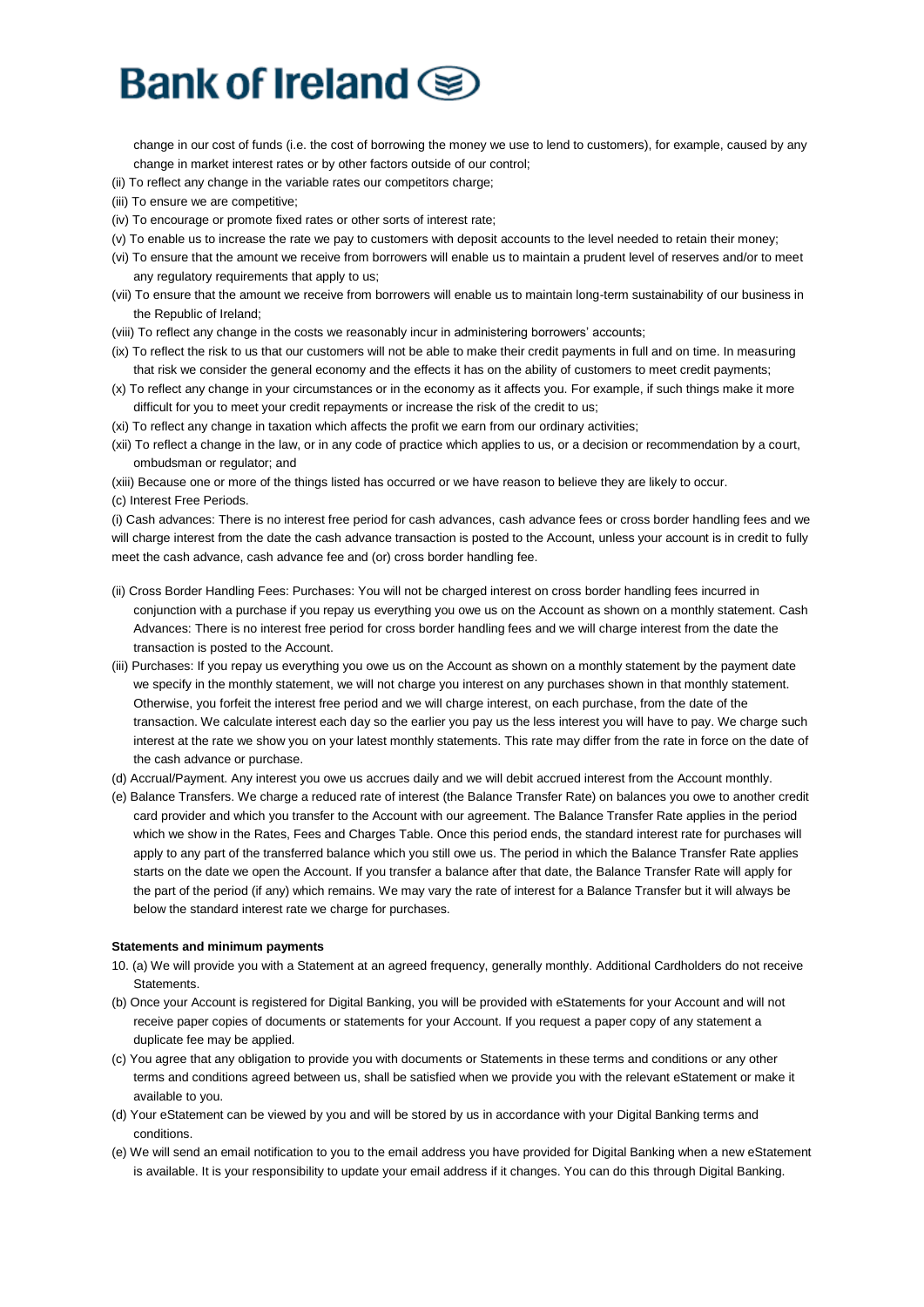change in our cost of funds (i.e. the cost of borrowing the money we use to lend to customers), for example, caused by any change in market interest rates or by other factors outside of our control;

- (ii) To reflect any change in the variable rates our competitors charge;
- (iii) To ensure we are competitive;
- (iv) To encourage or promote fixed rates or other sorts of interest rate;
- (v) To enable us to increase the rate we pay to customers with deposit accounts to the level needed to retain their money;
- (vi) To ensure that the amount we receive from borrowers will enable us to maintain a prudent level of reserves and/or to meet any regulatory requirements that apply to us;
- (vii) To ensure that the amount we receive from borrowers will enable us to maintain long-term sustainability of our business in the Republic of Ireland;
- (viii) To reflect any change in the costs we reasonably incur in administering borrowers' accounts;
- (ix) To reflect the risk to us that our customers will not be able to make their credit payments in full and on time. In measuring that risk we consider the general economy and the effects it has on the ability of customers to meet credit payments;
- (x) To reflect any change in your circumstances or in the economy as it affects you. For example, if such things make it more difficult for you to meet your credit repayments or increase the risk of the credit to us;
- (xi) To reflect any change in taxation which affects the profit we earn from our ordinary activities;
- (xii) To reflect a change in the law, or in any code of practice which applies to us, or a decision or recommendation by a court, ombudsman or regulator; and
- (xiii) Because one or more of the things listed has occurred or we have reason to believe they are likely to occur. (c) Interest Free Periods.
- (i) Cash advances: There is no interest free period for cash advances, cash advance fees or cross border handling fees and we will charge interest from the date the cash advance transaction is posted to the Account, unless your account is in credit to fully meet the cash advance, cash advance fee and (or) cross border handling fee.
- (ii) Cross Border Handling Fees: Purchases: You will not be charged interest on cross border handling fees incurred in conjunction with a purchase if you repay us everything you owe us on the Account as shown on a monthly statement. Cash Advances: There is no interest free period for cross border handling fees and we will charge interest from the date the transaction is posted to the Account.
- (iii) Purchases: If you repay us everything you owe us on the Account as shown on a monthly statement by the payment date we specify in the monthly statement, we will not charge you interest on any purchases shown in that monthly statement. Otherwise, you forfeit the interest free period and we will charge interest, on each purchase, from the date of the transaction. We calculate interest each day so the earlier you pay us the less interest you will have to pay. We charge such interest at the rate we show you on your latest monthly statements. This rate may differ from the rate in force on the date of the cash advance or purchase.
- (d) Accrual/Payment. Any interest you owe us accrues daily and we will debit accrued interest from the Account monthly.
- (e) Balance Transfers. We charge a reduced rate of interest (the Balance Transfer Rate) on balances you owe to another credit card provider and which you transfer to the Account with our agreement. The Balance Transfer Rate applies in the period which we show in the Rates, Fees and Charges Table. Once this period ends, the standard interest rate for purchases will apply to any part of the transferred balance which you still owe us. The period in which the Balance Transfer Rate applies starts on the date we open the Account. If you transfer a balance after that date, the Balance Transfer Rate will apply for the part of the period (if any) which remains. We may vary the rate of interest for a Balance Transfer but it will always be below the standard interest rate we charge for purchases.

#### **Statements and minimum payments**

- 10. (a) We will provide you with a Statement at an agreed frequency, generally monthly. Additional Cardholders do not receive Statements.
- (b) Once your Account is registered for Digital Banking, you will be provided with eStatements for your Account and will not receive paper copies of documents or statements for your Account. If you request a paper copy of any statement a duplicate fee may be applied.
- (c) You agree that any obligation to provide you with documents or Statements in these terms and conditions or any other terms and conditions agreed between us, shall be satisfied when we provide you with the relevant eStatement or make it available to you.
- (d) Your eStatement can be viewed by you and will be stored by us in accordance with your Digital Banking terms and conditions.
- (e) We will send an email notification to you to the email address you have provided for Digital Banking when a new eStatement is available. It is your responsibility to update your email address if it changes. You can do this through Digital Banking.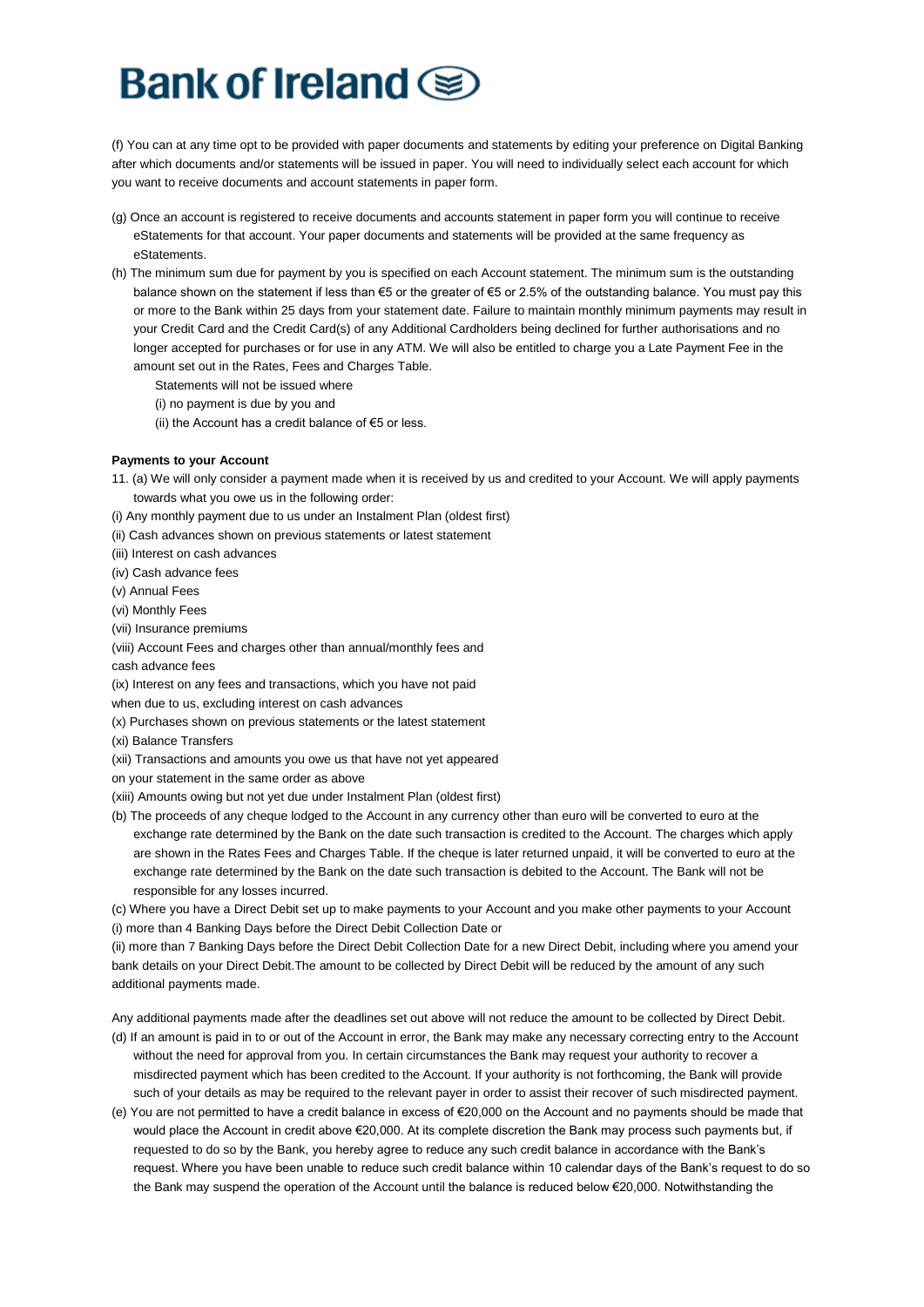(f) You can at any time opt to be provided with paper documents and statements by editing your preference on Digital Banking after which documents and/or statements will be issued in paper. You will need to individually select each account for which you want to receive documents and account statements in paper form.

- (g) Once an account is registered to receive documents and accounts statement in paper form you will continue to receive eStatements for that account. Your paper documents and statements will be provided at the same frequency as eStatements.
- (h) The minimum sum due for payment by you is specified on each Account statement. The minimum sum is the outstanding balance shown on the statement if less than €5 or the greater of €5 or 2.5% of the outstanding balance. You must pay this or more to the Bank within 25 days from your statement date. Failure to maintain monthly minimum payments may result in your Credit Card and the Credit Card(s) of any Additional Cardholders being declined for further authorisations and no longer accepted for purchases or for use in any ATM. We will also be entitled to charge you a Late Payment Fee in the amount set out in the Rates, Fees and Charges Table.
	- Statements will not be issued where
	- (i) no payment is due by you and
	- (ii) the Account has a credit balance of  $\epsilon$ 5 or less.

### **Payments to your Account**

- 11. (a) We will only consider a payment made when it is received by us and credited to your Account. We will apply payments towards what you owe us in the following order:
- (i) Any monthly payment due to us under an Instalment Plan (oldest first)
- (ii) Cash advances shown on previous statements or latest statement
- (iii) Interest on cash advances
- (iv) Cash advance fees
- (v) Annual Fees
- (vi) Monthly Fees
- (vii) Insurance premiums
- (viii) Account Fees and charges other than annual/monthly fees and
- cash advance fees
- (ix) Interest on any fees and transactions, which you have not paid
- when due to us, excluding interest on cash advances
- (x) Purchases shown on previous statements or the latest statement
- (xi) Balance Transfers
- (xii) Transactions and amounts you owe us that have not yet appeared
- on your statement in the same order as above
- (xiii) Amounts owing but not yet due under Instalment Plan (oldest first)
- (b) The proceeds of any cheque lodged to the Account in any currency other than euro will be converted to euro at the exchange rate determined by the Bank on the date such transaction is credited to the Account. The charges which apply are shown in the Rates Fees and Charges Table. If the cheque is later returned unpaid, it will be converted to euro at the exchange rate determined by the Bank on the date such transaction is debited to the Account. The Bank will not be responsible for any losses incurred.

(c) Where you have a Direct Debit set up to make payments to your Account and you make other payments to your Account (i) more than 4 Banking Days before the Direct Debit Collection Date or

(ii) more than 7 Banking Days before the Direct Debit Collection Date for a new Direct Debit, including where you amend your bank details on your Direct Debit.The amount to be collected by Direct Debit will be reduced by the amount of any such additional payments made.

Any additional payments made after the deadlines set out above will not reduce the amount to be collected by Direct Debit.

- (d) If an amount is paid in to or out of the Account in error, the Bank may make any necessary correcting entry to the Account without the need for approval from you. In certain circumstances the Bank may request your authority to recover a misdirected payment which has been credited to the Account. If your authority is not forthcoming, the Bank will provide such of your details as may be required to the relevant payer in order to assist their recover of such misdirected payment.
- (e) You are not permitted to have a credit balance in excess of €20,000 on the Account and no payments should be made that would place the Account in credit above €20,000. At its complete discretion the Bank may process such payments but, if requested to do so by the Bank, you hereby agree to reduce any such credit balance in accordance with the Bank's request. Where you have been unable to reduce such credit balance within 10 calendar days of the Bank's request to do so the Bank may suspend the operation of the Account until the balance is reduced below €20,000. Notwithstanding the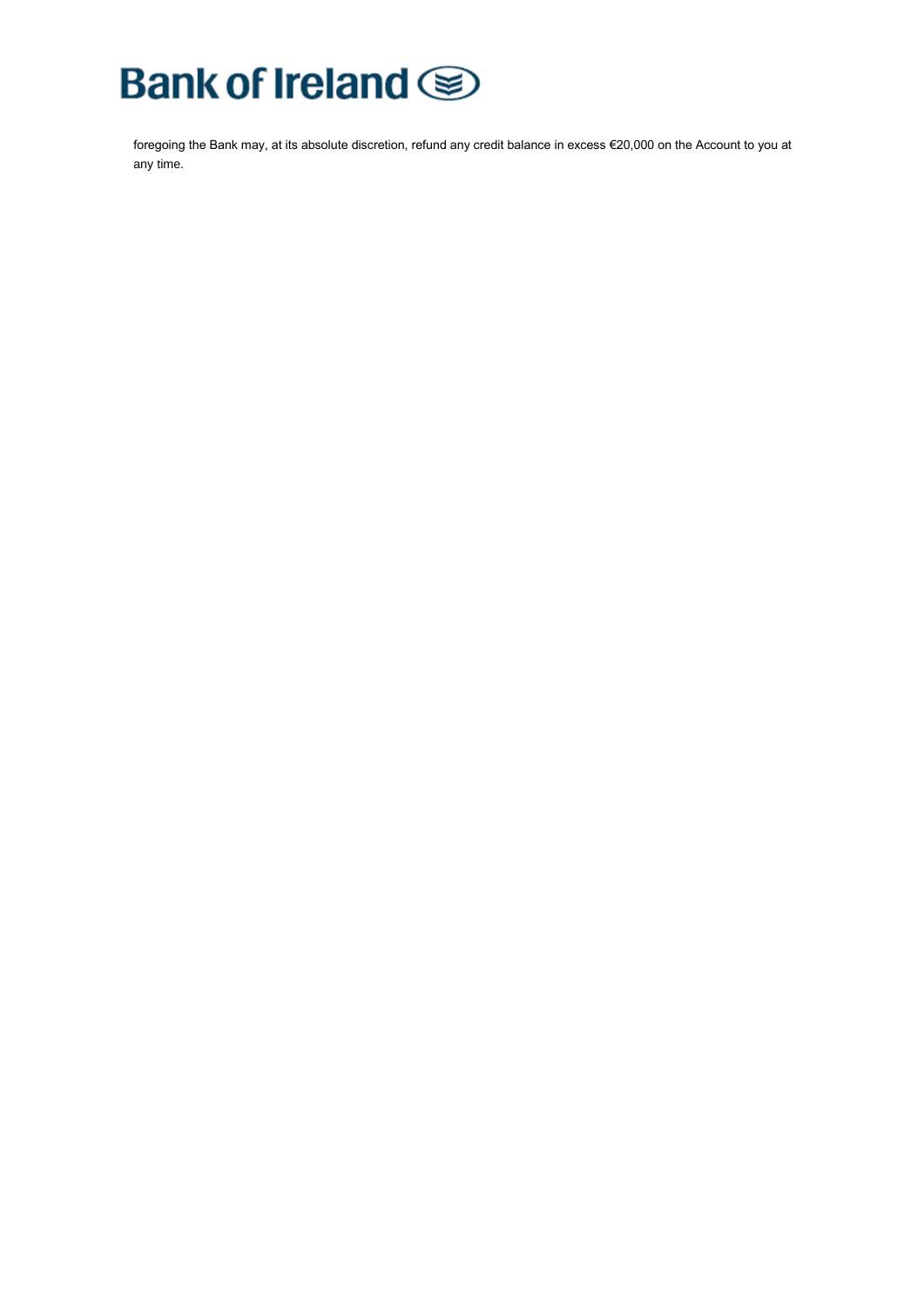# **Bank of Ireland**

foregoing the Bank may, at its absolute discretion, refund any credit balance in excess €20,000 on the Account to you at any time.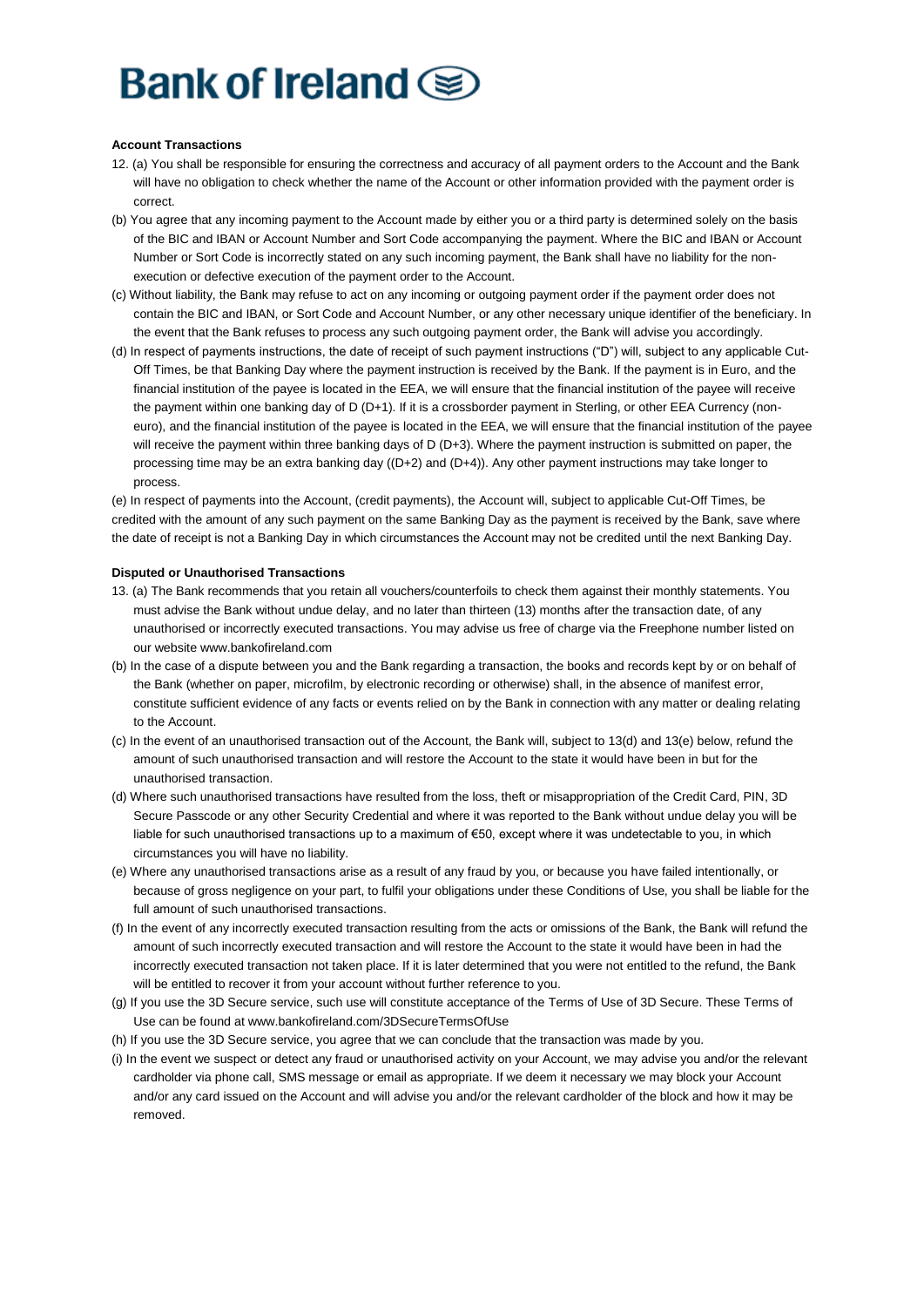#### **Account Transactions**

- 12. (a) You shall be responsible for ensuring the correctness and accuracy of all payment orders to the Account and the Bank will have no obligation to check whether the name of the Account or other information provided with the payment order is correct.
- (b) You agree that any incoming payment to the Account made by either you or a third party is determined solely on the basis of the BIC and IBAN or Account Number and Sort Code accompanying the payment. Where the BIC and IBAN or Account Number or Sort Code is incorrectly stated on any such incoming payment, the Bank shall have no liability for the nonexecution or defective execution of the payment order to the Account.
- (c) Without liability, the Bank may refuse to act on any incoming or outgoing payment order if the payment order does not contain the BIC and IBAN, or Sort Code and Account Number, or any other necessary unique identifier of the beneficiary. In the event that the Bank refuses to process any such outgoing payment order, the Bank will advise you accordingly.
- (d) In respect of payments instructions, the date of receipt of such payment instructions ("D") will, subject to any applicable Cut-Off Times, be that Banking Day where the payment instruction is received by the Bank. If the payment is in Euro, and the financial institution of the payee is located in the EEA, we will ensure that the financial institution of the payee will receive the payment within one banking day of D (D+1). If it is a crossborder payment in Sterling, or other EEA Currency (noneuro), and the financial institution of the payee is located in the EEA, we will ensure that the financial institution of the payee will receive the payment within three banking days of D (D+3). Where the payment instruction is submitted on paper, the processing time may be an extra banking day ((D+2) and (D+4)). Any other payment instructions may take longer to process.

(e) In respect of payments into the Account, (credit payments), the Account will, subject to applicable Cut-Off Times, be credited with the amount of any such payment on the same Banking Day as the payment is received by the Bank, save where the date of receipt is not a Banking Day in which circumstances the Account may not be credited until the next Banking Day.

### **Disputed or Unauthorised Transactions**

- 13. (a) The Bank recommends that you retain all vouchers/counterfoils to check them against their monthly statements. You must advise the Bank without undue delay, and no later than thirteen (13) months after the transaction date, of any unauthorised or incorrectly executed transactions. You may advise us free of charge via the Freephone number listed on our website www.bankofireland.com
- (b) In the case of a dispute between you and the Bank regarding a transaction, the books and records kept by or on behalf of the Bank (whether on paper, microfilm, by electronic recording or otherwise) shall, in the absence of manifest error, constitute sufficient evidence of any facts or events relied on by the Bank in connection with any matter or dealing relating to the Account.
- (c) In the event of an unauthorised transaction out of the Account, the Bank will, subject to 13(d) and 13(e) below, refund the amount of such unauthorised transaction and will restore the Account to the state it would have been in but for the unauthorised transaction.
- (d) Where such unauthorised transactions have resulted from the loss, theft or misappropriation of the Credit Card, PIN, 3D Secure Passcode or any other Security Credential and where it was reported to the Bank without undue delay you will be liable for such unauthorised transactions up to a maximum of €50, except where it was undetectable to you, in which circumstances you will have no liability.
- (e) Where any unauthorised transactions arise as a result of any fraud by you, or because you have failed intentionally, or because of gross negligence on your part, to fulfil your obligations under these Conditions of Use, you shall be liable for the full amount of such unauthorised transactions.
- (f) In the event of any incorrectly executed transaction resulting from the acts or omissions of the Bank, the Bank will refund the amount of such incorrectly executed transaction and will restore the Account to the state it would have been in had the incorrectly executed transaction not taken place. If it is later determined that you were not entitled to the refund, the Bank will be entitled to recover it from your account without further reference to you.
- (g) If you use the 3D Secure service, such use will constitute acceptance of the Terms of Use of 3D Secure. These Terms of Use can be found at www.bankofireland.com/3DSecureTermsOfUse
- (h) If you use the 3D Secure service, you agree that we can conclude that the transaction was made by you.
- (i) In the event we suspect or detect any fraud or unauthorised activity on your Account, we may advise you and/or the relevant cardholder via phone call, SMS message or email as appropriate. If we deem it necessary we may block your Account and/or any card issued on the Account and will advise you and/or the relevant cardholder of the block and how it may be removed.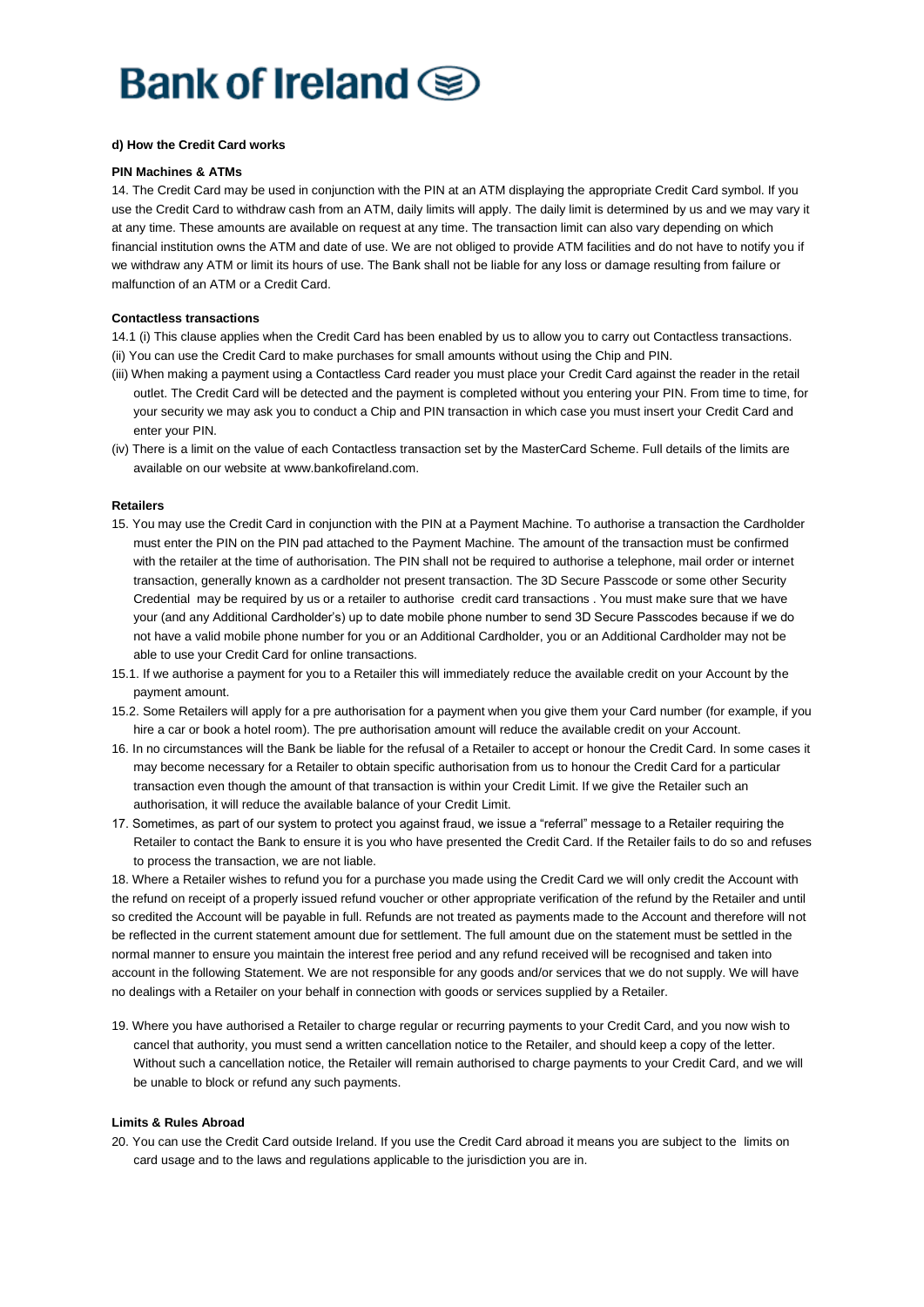# Bank of Ireland (

### **d) How the Credit Card works**

#### **PIN Machines & ATMs**

14. The Credit Card may be used in conjunction with the PIN at an ATM displaying the appropriate Credit Card symbol. If you use the Credit Card to withdraw cash from an ATM, daily limits will apply. The daily limit is determined by us and we may vary it at any time. These amounts are available on request at any time. The transaction limit can also vary depending on which financial institution owns the ATM and date of use. We are not obliged to provide ATM facilities and do not have to notify you if we withdraw any ATM or limit its hours of use. The Bank shall not be liable for any loss or damage resulting from failure or malfunction of an ATM or a Credit Card.

#### **Contactless transactions**

14.1 (i) This clause applies when the Credit Card has been enabled by us to allow you to carry out Contactless transactions.

- (ii) You can use the Credit Card to make purchases for small amounts without using the Chip and PIN.
- (iii) When making a payment using a Contactless Card reader you must place your Credit Card against the reader in the retail outlet. The Credit Card will be detected and the payment is completed without you entering your PIN. From time to time, for your security we may ask you to conduct a Chip and PIN transaction in which case you must insert your Credit Card and enter your PIN.
- (iv) There is a limit on the value of each Contactless transaction set by the MasterCard Scheme. Full details of the limits are available on our website at www.bankofireland.com.

### **Retailers**

- 15. You may use the Credit Card in conjunction with the PIN at a Payment Machine. To authorise a transaction the Cardholder must enter the PIN on the PIN pad attached to the Payment Machine. The amount of the transaction must be confirmed with the retailer at the time of authorisation. The PIN shall not be required to authorise a telephone, mail order or internet transaction, generally known as a cardholder not present transaction. The 3D Secure Passcode or some other Security Credential may be required by us or a retailer to authorise credit card transactions . You must make sure that we have your (and any Additional Cardholder's) up to date mobile phone number to send 3D Secure Passcodes because if we do not have a valid mobile phone number for you or an Additional Cardholder, you or an Additional Cardholder may not be able to use your Credit Card for online transactions.
- 15.1. If we authorise a payment for you to a Retailer this will immediately reduce the available credit on your Account by the payment amount.
- 15.2. Some Retailers will apply for a pre authorisation for a payment when you give them your Card number (for example, if you hire a car or book a hotel room). The pre authorisation amount will reduce the available credit on your Account.
- 16. In no circumstances will the Bank be liable for the refusal of a Retailer to accept or honour the Credit Card. In some cases it may become necessary for a Retailer to obtain specific authorisation from us to honour the Credit Card for a particular transaction even though the amount of that transaction is within your Credit Limit. If we give the Retailer such an authorisation, it will reduce the available balance of your Credit Limit.
- 17. Sometimes, as part of our system to protect you against fraud, we issue a "referral" message to a Retailer requiring the Retailer to contact the Bank to ensure it is you who have presented the Credit Card. If the Retailer fails to do so and refuses to process the transaction, we are not liable.

18. Where a Retailer wishes to refund you for a purchase you made using the Credit Card we will only credit the Account with the refund on receipt of a properly issued refund voucher or other appropriate verification of the refund by the Retailer and until so credited the Account will be payable in full. Refunds are not treated as payments made to the Account and therefore will not be reflected in the current statement amount due for settlement. The full amount due on the statement must be settled in the normal manner to ensure you maintain the interest free period and any refund received will be recognised and taken into account in the following Statement. We are not responsible for any goods and/or services that we do not supply. We will have no dealings with a Retailer on your behalf in connection with goods or services supplied by a Retailer.

19. Where you have authorised a Retailer to charge regular or recurring payments to your Credit Card, and you now wish to cancel that authority, you must send a written cancellation notice to the Retailer, and should keep a copy of the letter. Without such a cancellation notice, the Retailer will remain authorised to charge payments to your Credit Card, and we will be unable to block or refund any such payments.

#### **Limits & Rules Abroad**

20. You can use the Credit Card outside Ireland. If you use the Credit Card abroad it means you are subject to the limits on card usage and to the laws and regulations applicable to the jurisdiction you are in.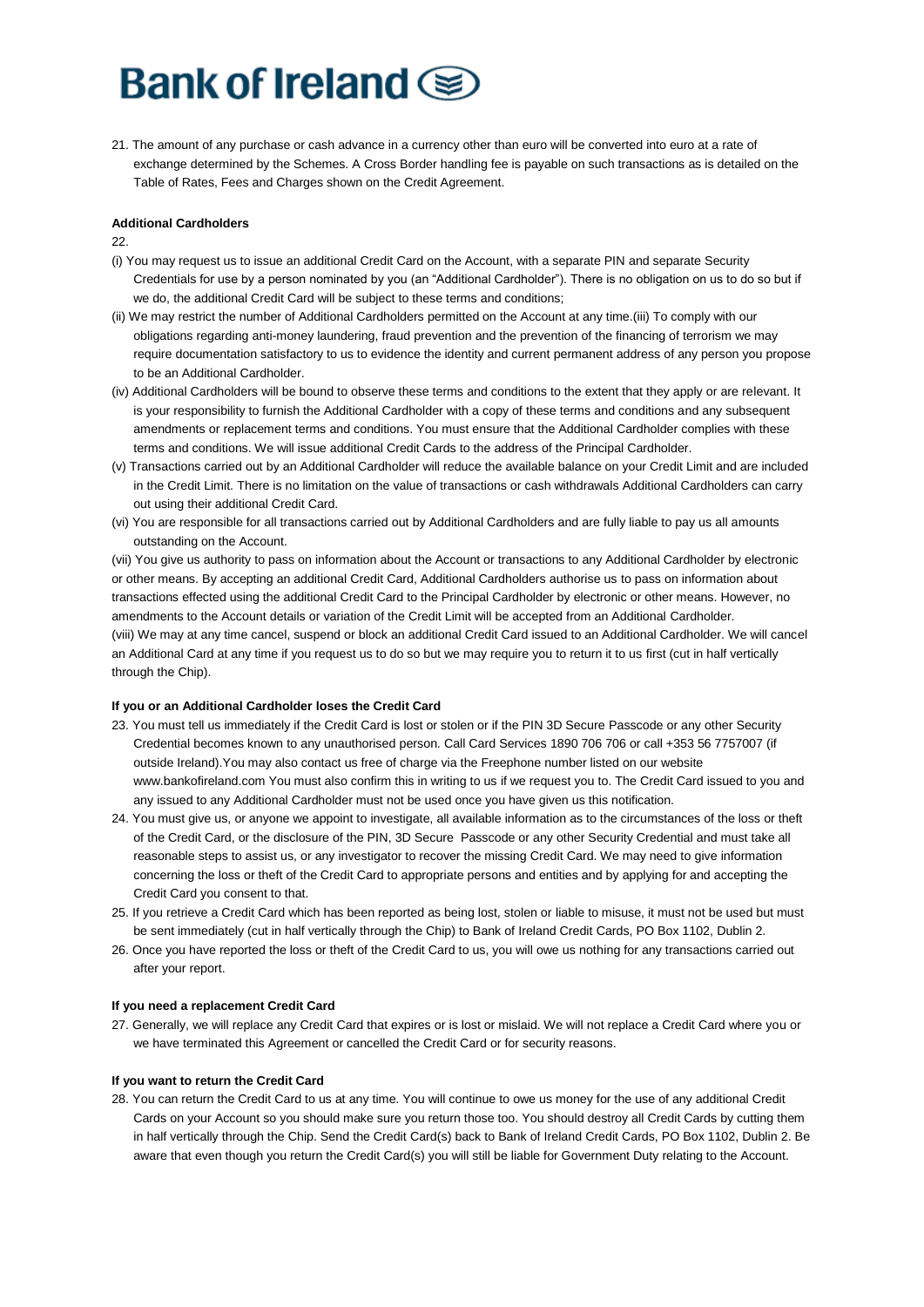21. The amount of any purchase or cash advance in a currency other than euro will be converted into euro at a rate of exchange determined by the Schemes. A Cross Border handling fee is payable on such transactions as is detailed on the Table of Rates, Fees and Charges shown on the Credit Agreement.

### **Additional Cardholders**

 $22.$ 

- (i) You may request us to issue an additional Credit Card on the Account, with a separate PIN and separate Security Credentials for use by a person nominated by you (an "Additional Cardholder"). There is no obligation on us to do so but if we do, the additional Credit Card will be subject to these terms and conditions;
- (ii) We may restrict the number of Additional Cardholders permitted on the Account at any time.(iii) To comply with our obligations regarding anti-money laundering, fraud prevention and the prevention of the financing of terrorism we may require documentation satisfactory to us to evidence the identity and current permanent address of any person you propose to be an Additional Cardholder.
- (iv) Additional Cardholders will be bound to observe these terms and conditions to the extent that they apply or are relevant. It is your responsibility to furnish the Additional Cardholder with a copy of these terms and conditions and any subsequent amendments or replacement terms and conditions. You must ensure that the Additional Cardholder complies with these terms and conditions. We will issue additional Credit Cards to the address of the Principal Cardholder.
- (v) Transactions carried out by an Additional Cardholder will reduce the available balance on your Credit Limit and are included in the Credit Limit. There is no limitation on the value of transactions or cash withdrawals Additional Cardholders can carry out using their additional Credit Card.
- (vi) You are responsible for all transactions carried out by Additional Cardholders and are fully liable to pay us all amounts outstanding on the Account.

(vii) You give us authority to pass on information about the Account or transactions to any Additional Cardholder by electronic or other means. By accepting an additional Credit Card, Additional Cardholders authorise us to pass on information about transactions effected using the additional Credit Card to the Principal Cardholder by electronic or other means. However, no amendments to the Account details or variation of the Credit Limit will be accepted from an Additional Cardholder. (viii) We may at any time cancel, suspend or block an additional Credit Card issued to an Additional Cardholder. We will cancel an Additional Card at any time if you request us to do so but we may require you to return it to us first (cut in half vertically through the Chip).

### **If you or an Additional Cardholder loses the Credit Card**

- 23. You must tell us immediately if the Credit Card is lost or stolen or if the PIN 3D Secure Passcode or any other Security Credential becomes known to any unauthorised person. Call Card Services 1890 706 706 or call +353 56 7757007 (if outside Ireland).You may also contact us free of charge via the Freephone number listed on our website www.bankofireland.com You must also confirm this in writing to us if we request you to. The Credit Card issued to you and any issued to any Additional Cardholder must not be used once you have given us this notification.
- 24. You must give us, or anyone we appoint to investigate, all available information as to the circumstances of the loss or theft of the Credit Card, or the disclosure of the PIN, 3D Secure Passcode or any other Security Credential and must take all reasonable steps to assist us, or any investigator to recover the missing Credit Card. We may need to give information concerning the loss or theft of the Credit Card to appropriate persons and entities and by applying for and accepting the Credit Card you consent to that.
- 25. If you retrieve a Credit Card which has been reported as being lost, stolen or liable to misuse, it must not be used but must be sent immediately (cut in half vertically through the Chip) to Bank of Ireland Credit Cards, PO Box 1102, Dublin 2.
- 26. Once you have reported the loss or theft of the Credit Card to us, you will owe us nothing for any transactions carried out after your report.

### **If you need a replacement Credit Card**

27. Generally, we will replace any Credit Card that expires or is lost or mislaid. We will not replace a Credit Card where you or we have terminated this Agreement or cancelled the Credit Card or for security reasons.

### **If you want to return the Credit Card**

28. You can return the Credit Card to us at any time. You will continue to owe us money for the use of any additional Credit Cards on your Account so you should make sure you return those too. You should destroy all Credit Cards by cutting them in half vertically through the Chip. Send the Credit Card(s) back to Bank of Ireland Credit Cards, PO Box 1102, Dublin 2. Be aware that even though you return the Credit Card(s) you will still be liable for Government Duty relating to the Account.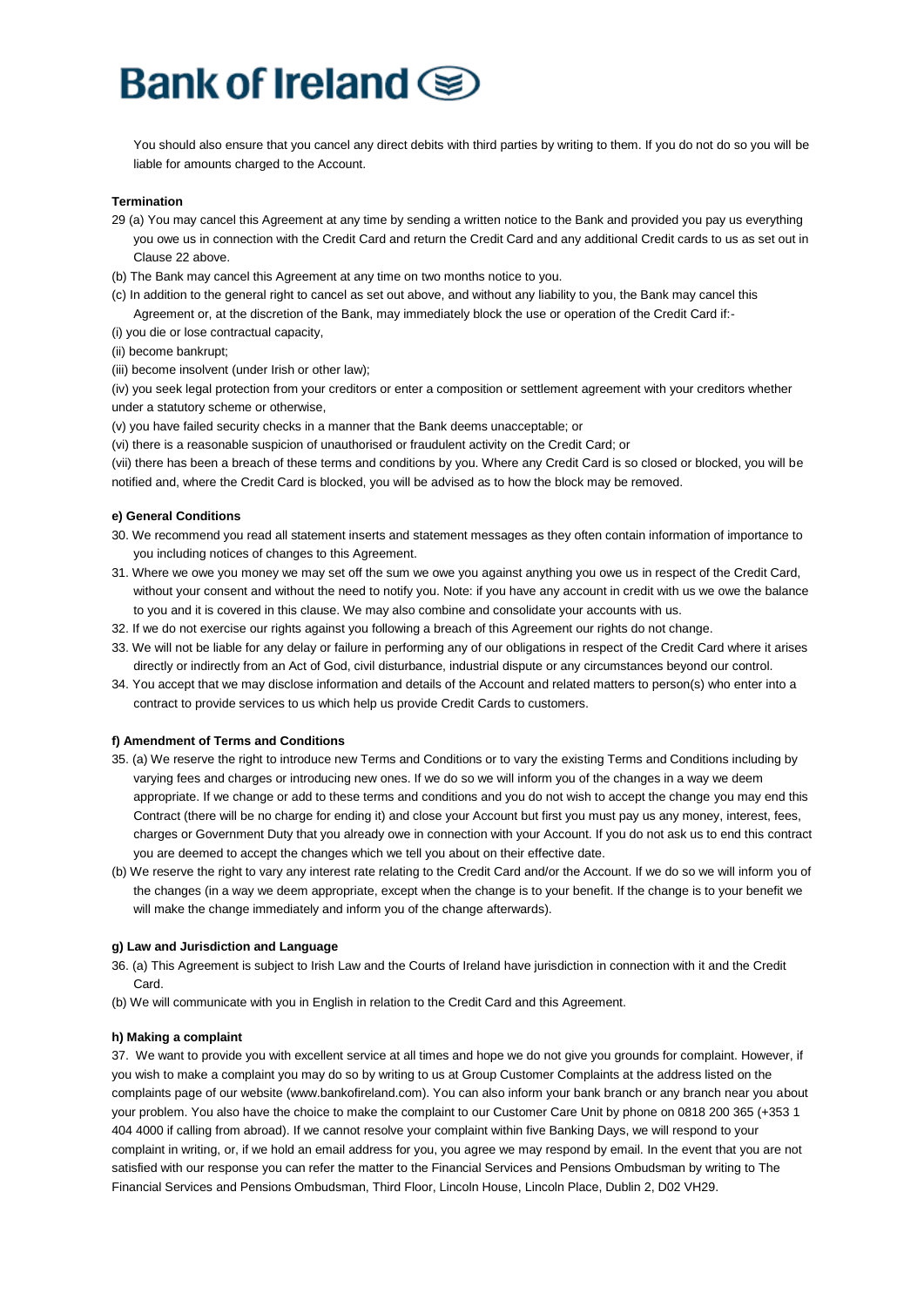You should also ensure that you cancel any direct debits with third parties by writing to them. If you do not do so you will be liable for amounts charged to the Account.

### **Termination**

- 29 (a) You may cancel this Agreement at any time by sending a written notice to the Bank and provided you pay us everything you owe us in connection with the Credit Card and return the Credit Card and any additional Credit cards to us as set out in Clause 22 above.
- (b) The Bank may cancel this Agreement at any time on two months notice to you.
- (c) In addition to the general right to cancel as set out above, and without any liability to you, the Bank may cancel this Agreement or, at the discretion of the Bank, may immediately block the use or operation of the Credit Card if:-
- (i) you die or lose contractual capacity,
- (ii) become bankrupt;
- (iii) become insolvent (under Irish or other law);

(iv) you seek legal protection from your creditors or enter a composition or settlement agreement with your creditors whether under a statutory scheme or otherwise,

- (v) you have failed security checks in a manner that the Bank deems unacceptable; or
- (vi) there is a reasonable suspicion of unauthorised or fraudulent activity on the Credit Card; or

(vii) there has been a breach of these terms and conditions by you. Where any Credit Card is so closed or blocked, you will be notified and, where the Credit Card is blocked, you will be advised as to how the block may be removed.

#### **e) General Conditions**

- 30. We recommend you read all statement inserts and statement messages as they often contain information of importance to you including notices of changes to this Agreement.
- 31. Where we owe you money we may set off the sum we owe you against anything you owe us in respect of the Credit Card, without your consent and without the need to notify you. Note: if you have any account in credit with us we owe the balance to you and it is covered in this clause. We may also combine and consolidate your accounts with us.
- 32. If we do not exercise our rights against you following a breach of this Agreement our rights do not change.
- 33. We will not be liable for any delay or failure in performing any of our obligations in respect of the Credit Card where it arises directly or indirectly from an Act of God, civil disturbance, industrial dispute or any circumstances beyond our control.
- 34. You accept that we may disclose information and details of the Account and related matters to person(s) who enter into a contract to provide services to us which help us provide Credit Cards to customers.

#### **f) Amendment of Terms and Conditions**

- 35. (a) We reserve the right to introduce new Terms and Conditions or to vary the existing Terms and Conditions including by varying fees and charges or introducing new ones. If we do so we will inform you of the changes in a way we deem appropriate. If we change or add to these terms and conditions and you do not wish to accept the change you may end this Contract (there will be no charge for ending it) and close your Account but first you must pay us any money, interest, fees, charges or Government Duty that you already owe in connection with your Account. If you do not ask us to end this contract you are deemed to accept the changes which we tell you about on their effective date.
- (b) We reserve the right to vary any interest rate relating to the Credit Card and/or the Account. If we do so we will inform you of the changes (in a way we deem appropriate, except when the change is to your benefit. If the change is to your benefit we will make the change immediately and inform you of the change afterwards).

### **g) Law and Jurisdiction and Language**

- 36. (a) This Agreement is subject to Irish Law and the Courts of Ireland have jurisdiction in connection with it and the Credit Card.
- (b) We will communicate with you in English in relation to the Credit Card and this Agreement.

#### **h) Making a complaint**

37. We want to provide you with excellent service at all times and hope we do not give you grounds for complaint. However, if you wish to make a complaint you may do so by writing to us at Group Customer Complaints at the address listed on the complaints page of our website (www.bankofireland.com). You can also inform your bank branch or any branch near you about your problem. You also have the choice to make the complaint to our Customer Care Unit by phone on 0818 200 365 (+353 1 404 4000 if calling from abroad). If we cannot resolve your complaint within five Banking Days, we will respond to your complaint in writing, or, if we hold an email address for you, you agree we may respond by email. In the event that you are not satisfied with our response you can refer the matter to the Financial Services and Pensions Ombudsman by writing to The Financial Services and Pensions Ombudsman, Third Floor, Lincoln House, Lincoln Place, Dublin 2, D02 VH29.